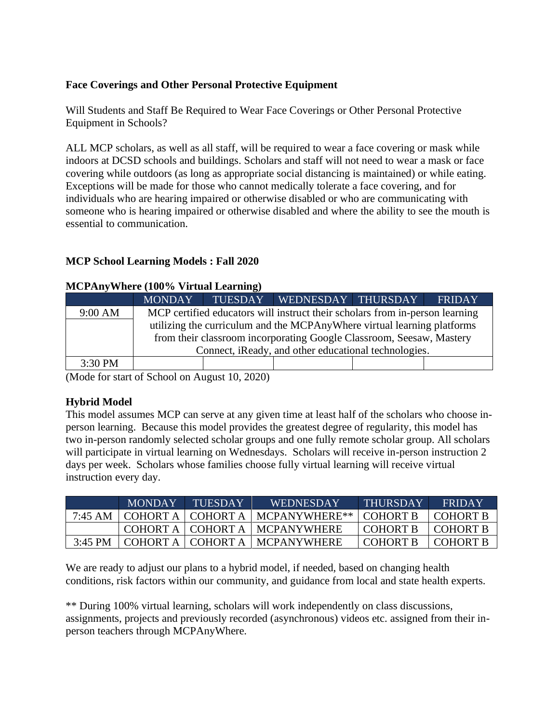# **Face Coverings and Other Personal Protective Equipment**

Will Students and Staff Be Required to Wear Face Coverings or Other Personal Protective Equipment in Schools?

ALL MCP scholars, as well as all staff, will be required to wear a face covering or mask while indoors at DCSD schools and buildings. Scholars and staff will not need to wear a mask or face covering while outdoors (as long as appropriate social distancing is maintained) or while eating. Exceptions will be made for those who cannot medically tolerate a face covering, and for individuals who are hearing impaired or otherwise disabled or who are communicating with someone who is hearing impaired or otherwise disabled and where the ability to see the mouth is essential to communication.

## **MCP School Learning Models : Fall 2020**

#### **MCPAnyWhere (100% Virtual Learning)**

|         | <b>MONDAY</b>                                                                | TUESDAY | WEDNESDAY THURSDAY |  | <b>FRIDAY</b> |  |
|---------|------------------------------------------------------------------------------|---------|--------------------|--|---------------|--|
| 9:00 AM | MCP certified educators will instruct their scholars from in-person learning |         |                    |  |               |  |
|         | utilizing the curriculum and the MCPAnyWhere virtual learning platforms      |         |                    |  |               |  |
|         | from their classroom incorporating Google Classroom, Seesaw, Mastery         |         |                    |  |               |  |
|         | Connect, iReady, and other educational technologies.                         |         |                    |  |               |  |
| 3:30 PM |                                                                              |         |                    |  |               |  |

(Mode for start of School on August 10, 2020)

### **Hybrid Model**

This model assumes MCP can serve at any given time at least half of the scholars who choose inperson learning. Because this model provides the greatest degree of regularity, this model has two in-person randomly selected scholar groups and one fully remote scholar group. All scholars will participate in virtual learning on Wednesdays. Scholars will receive in-person instruction 2 days per week. Scholars whose families choose fully virtual learning will receive virtual instruction every day.

|           | <b>MONDAY</b>      | TUESDAY'   | WEDNESDAY                | THURSDAY  | <b>FRIDAY</b> |
|-----------|--------------------|------------|--------------------------|-----------|---------------|
| 7:45 AM   | COHORT A LCOHORT A |            | MCPANYWHERE**   COHORT B |           | LCOHORT B     |
|           | COHORT A LCOHORT A |            | <b>MCPANYWHERE</b>       | LCOHORT B | LCOHORT B     |
| $3:45$ PM | COHORT A           | ' COHORT A | <b>MCPANYWHERE</b>       | COHORT B  | L COHORT B    |

We are ready to adjust our plans to a hybrid model, if needed, based on changing health conditions, risk factors within our community, and guidance from local and state health experts.

\*\* During 100% virtual learning, scholars will work independently on class discussions, assignments, projects and previously recorded (asynchronous) videos etc. assigned from their inperson teachers through MCPAnyWhere.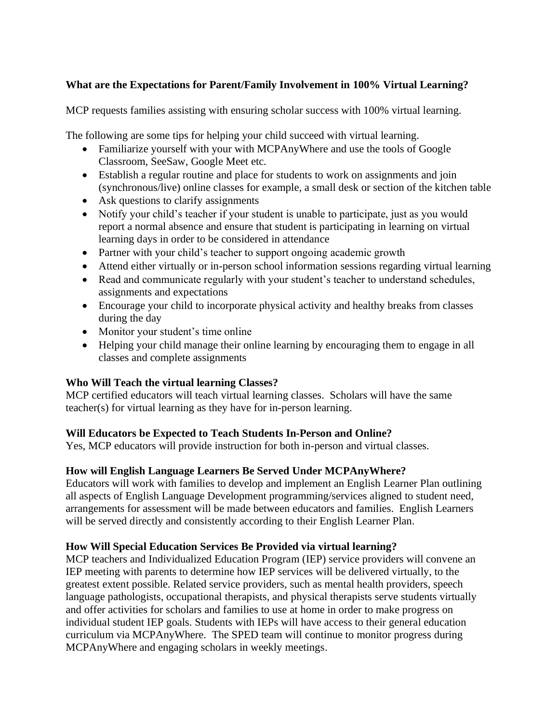# **What are the Expectations for Parent/Family Involvement in 100% Virtual Learning?**

MCP requests families assisting with ensuring scholar success with 100% virtual learning.

The following are some tips for helping your child succeed with virtual learning.

- Familiarize yourself with your with MCPAnyWhere and use the tools of Google Classroom, SeeSaw, Google Meet etc.
- Establish a regular routine and place for students to work on assignments and join (synchronous/live) online classes for example, a small desk or section of the kitchen table
- Ask questions to clarify assignments
- Notify your child's teacher if your student is unable to participate, just as you would report a normal absence and ensure that student is participating in learning on virtual learning days in order to be considered in attendance
- Partner with your child's teacher to support ongoing academic growth
- Attend either virtually or in-person school information sessions regarding virtual learning
- Read and communicate regularly with your student's teacher to understand schedules, assignments and expectations
- Encourage your child to incorporate physical activity and healthy breaks from classes during the day
- Monitor your student's time online
- Helping your child manage their online learning by encouraging them to engage in all classes and complete assignments

### **Who Will Teach the virtual learning Classes?**

MCP certified educators will teach virtual learning classes. Scholars will have the same teacher(s) for virtual learning as they have for in-person learning.

### **Will Educators be Expected to Teach Students In-Person and Online?**

Yes, MCP educators will provide instruction for both in-person and virtual classes.

### **How will English Language Learners Be Served Under MCPAnyWhere?**

Educators will work with families to develop and implement an English Learner Plan outlining all aspects of English Language Development programming/services aligned to student need, arrangements for assessment will be made between educators and families. English Learners will be served directly and consistently according to their English Learner Plan.

### **How Will Special Education Services Be Provided via virtual learning?**

MCP teachers and Individualized Education Program (IEP) service providers will convene an IEP meeting with parents to determine how IEP services will be delivered virtually, to the greatest extent possible. Related service providers, such as mental health providers, speech language pathologists, occupational therapists, and physical therapists serve students virtually and offer activities for scholars and families to use at home in order to make progress on individual student IEP goals. Students with IEPs will have access to their general education curriculum via MCPAnyWhere. The SPED team will continue to monitor progress during MCPAnyWhere and engaging scholars in weekly meetings.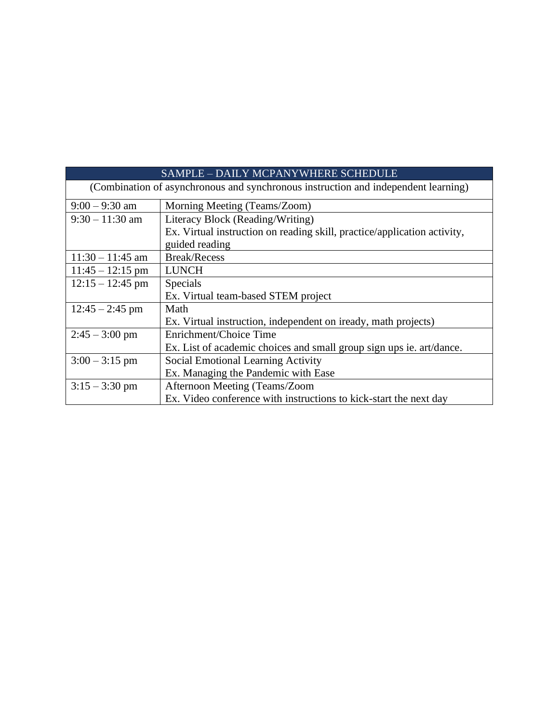| SAMPLE - DAILY MCPANYWHERE SCHEDULE                                                |                                                                          |  |  |  |
|------------------------------------------------------------------------------------|--------------------------------------------------------------------------|--|--|--|
| (Combination of asynchronous and synchronous instruction and independent learning) |                                                                          |  |  |  |
| $9:00 - 9:30$ am                                                                   | Morning Meeting (Teams/Zoom)                                             |  |  |  |
| $9:30 - 11:30$ am                                                                  | Literacy Block (Reading/Writing)                                         |  |  |  |
|                                                                                    | Ex. Virtual instruction on reading skill, practice/application activity, |  |  |  |
|                                                                                    | guided reading                                                           |  |  |  |
| $11:30 - 11:45$ am                                                                 | <b>Break/Recess</b>                                                      |  |  |  |
| $11:45 - 12:15$ pm                                                                 | <b>LUNCH</b>                                                             |  |  |  |
| $12:15 - 12:45$ pm                                                                 | Specials                                                                 |  |  |  |
|                                                                                    | Ex. Virtual team-based STEM project                                      |  |  |  |
| $12:45 - 2:45$ pm                                                                  | Math                                                                     |  |  |  |
|                                                                                    | Ex. Virtual instruction, independent on iready, math projects)           |  |  |  |
| $2:45 - 3:00$ pm                                                                   | Enrichment/Choice Time                                                   |  |  |  |
|                                                                                    | Ex. List of academic choices and small group sign ups ie. art/dance.     |  |  |  |
| $3:00 - 3:15$ pm                                                                   | <b>Social Emotional Learning Activity</b>                                |  |  |  |
|                                                                                    | Ex. Managing the Pandemic with Ease                                      |  |  |  |
| $3:15 - 3:30$ pm                                                                   | Afternoon Meeting (Teams/Zoom                                            |  |  |  |
|                                                                                    | Ex. Video conference with instructions to kick-start the next day        |  |  |  |